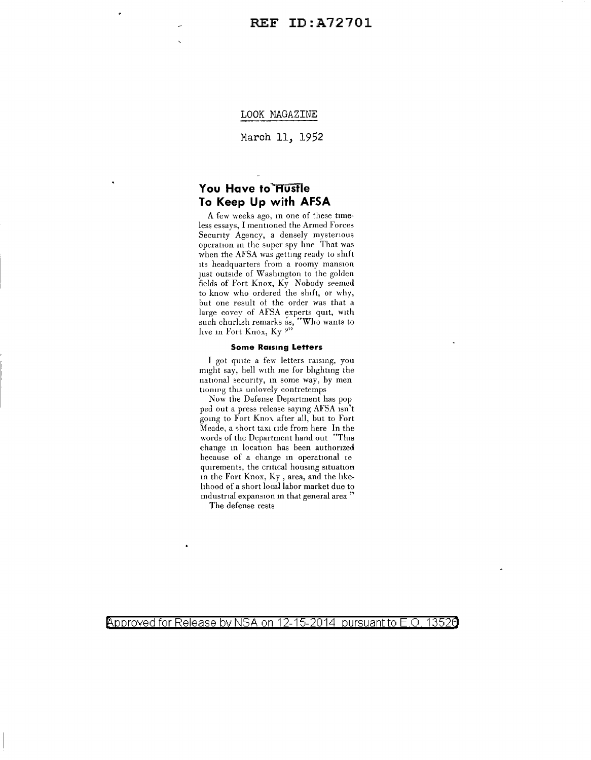#### LOOK MAGAZINE

March 11, 1952

# **You Have to Hustle To Keep Up with AFSA**

A few weeks ago, m one of these timeless essays, I mentioned the Armed Forces Security Agency, a densely mysterious operation in the super spy line That was when the AFSA was getting ready to shift its headquarters from a roomy mansion JUSt outside of Washmgton to the golden fields of Fort Knox, Ky Nobody seemed to know who ordered the shift, or why, but one result of the order was that a large covey of AFSA experts quit, with such churlish remarks as, "Who wants to live m Fort Knox, Ky?"

#### **Some Raising Letters**

I got quite a few letters raising, you might say, hell with me for bhghtmg the national security, m some way, by men tioning this unlovely contretemps

Now the Defense Department has pop ped out a press release saymg AFSA isn't going to Fort Knox after all, but to Fort Meade, a short taxi ride from here In the words of the Department hand out "This change in location has been authorized because of a change in operational ie quirements, the critical housing situation m the Fort Knox, Ky, area, and the hkehhood of a short local labor market due to mdustrial expansion in that general area '

The defense rests

Approved for Release by NSA on 12-15-2014 pursuant to E.O. 13526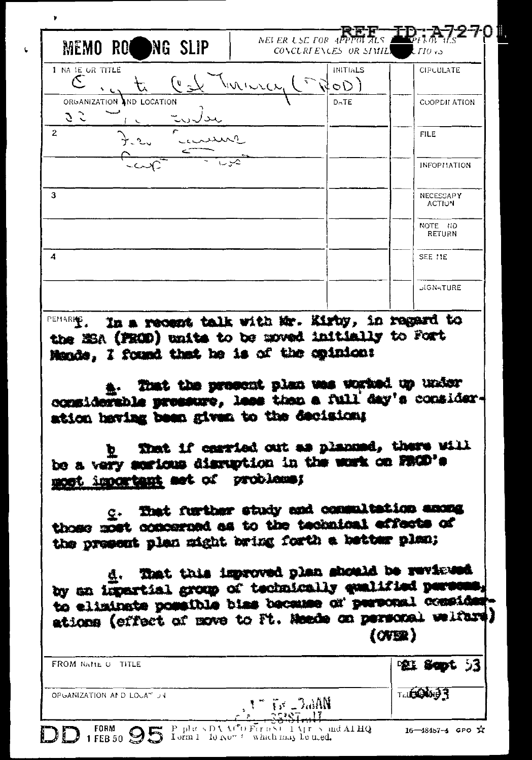| Cast Turner<br>$N$ OD)<br>ORGANIZATION AND LOCATION<br>DATE<br>S 5<br>$\mathbf{2}$<br><b>FILE</b><br><b>INFORMATION</b><br>3<br>NECESSARY<br><b>ACTION</b><br>NOTE NO<br>RETURN<br>$\boldsymbol{A}$<br>SEE 11E<br><b>JIGNATURE</b><br>In a recent talk with Mr. Kirby, in regard to<br>the MSA (FROD) units to be moved initially to Fort<br>Mands, I found that he is of the opinion: | MEMO ROWNG SLIP<br>1 NA 1E OR TITLE | NEI ER $\iota$ SE FOR APPTOLALS $\blacksquare$<br>CONCLREENCES OR SEMILS $CIO$ as<br><b>INITIALS</b> | CIPUULATE    |
|----------------------------------------------------------------------------------------------------------------------------------------------------------------------------------------------------------------------------------------------------------------------------------------------------------------------------------------------------------------------------------------|-------------------------------------|------------------------------------------------------------------------------------------------------|--------------|
|                                                                                                                                                                                                                                                                                                                                                                                        |                                     |                                                                                                      |              |
|                                                                                                                                                                                                                                                                                                                                                                                        |                                     |                                                                                                      | COOPDILATION |
|                                                                                                                                                                                                                                                                                                                                                                                        |                                     |                                                                                                      |              |
|                                                                                                                                                                                                                                                                                                                                                                                        |                                     |                                                                                                      |              |
|                                                                                                                                                                                                                                                                                                                                                                                        |                                     |                                                                                                      |              |
|                                                                                                                                                                                                                                                                                                                                                                                        |                                     |                                                                                                      |              |
|                                                                                                                                                                                                                                                                                                                                                                                        |                                     |                                                                                                      |              |
|                                                                                                                                                                                                                                                                                                                                                                                        |                                     |                                                                                                      |              |
| a. That the present plan was worked up under considerable pressure, less than a full day's consider-                                                                                                                                                                                                                                                                                   | PEMARK <sub>4</sub>                 |                                                                                                      |              |

 $\epsilon$ 

That if carried out as planned, there will Þ. be a very serious disruption in the work on FROD's most important set of problems;

That further study and commultation among those most concerned as to the technical effects of the present plan might bring forth a better plan;

That this improved plan should be reviewed đ. by an impartial group of technically qualified perso to eliminate possible bias because of personal conside ations (effect of move to Ft. Meede on personal welfare  $(0)$ 

| FROM NAME OF TITLE        |                                                           | <b>空耳 Sopt 53</b>      |
|---------------------------|-----------------------------------------------------------|------------------------|
| OPGANIZATION AND LOUATIUM | $1 - 7$ is $\sim 2$ all $\mathbf{N}$<br>つつりのす します         | T.LE DA                |
| $\mathbf{D}$              | D 1 FEB 50 95 Lorm 1 Report of February 1 Apr 5 and Al HQ | $16 - 484b7 - 4$ GPO X |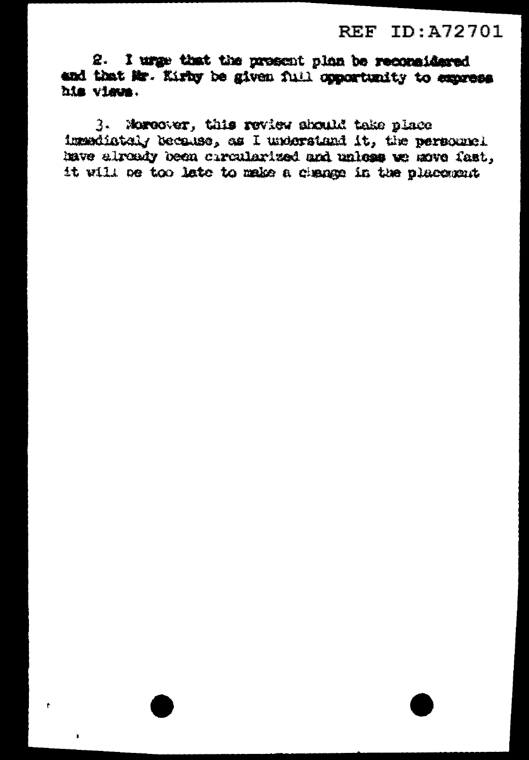2. I urge that the present plan be reconsidered and that Mr. Kirby be given full opportunity to express his views.

3. Moreover, this review should take place imendiately becouse, as I understand it, the personnel have already been chroniarized and unless we move fast, it will be too late to make a change in the placement

ŧ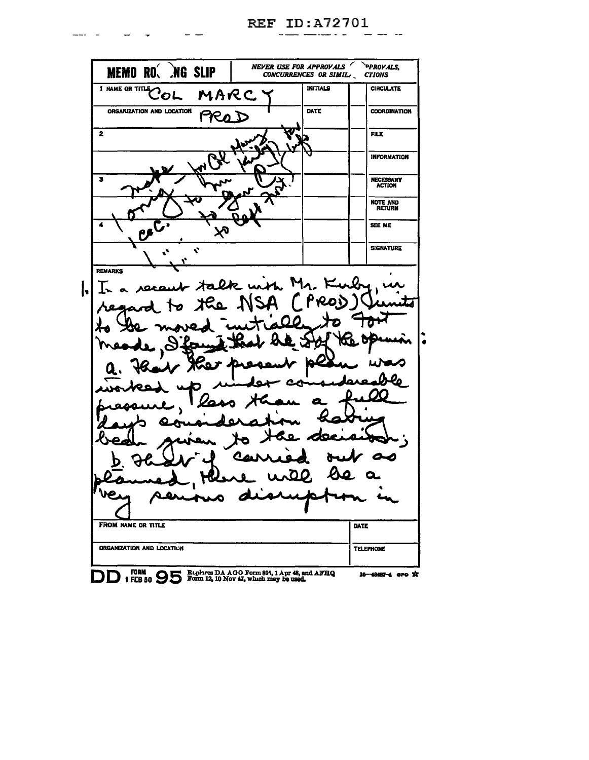NEVER USE FOR APPROVALS PPROVALS, **MEMORO NG SLIP CTIONS** I NAME OR TITLE OL **INITIALS CIRCULATE** MARC ORGANIZATION AND LOCATION **COORDINATION** DATE PROD  $\overline{2}$ **FILE INFORMATION** NECESSARY<br>ACTION  $\overline{\mathbf{z}}$ NOTE AND<br>RETURN SEE ME **SIGNATURE**  $\mathbf{v}$ REMARKS M 0  $D_{R-\mu}$ rNe. **|** ممعد Ω  $\epsilon$ Ĺ FROM NAME OR TITLE DATE ORGANIZATION AND LOCATION **TELEPHONE** DD : FORM 95 DA AGO Form 895, 1 Apr 48, and AFHQ 16-48487-4 aro \*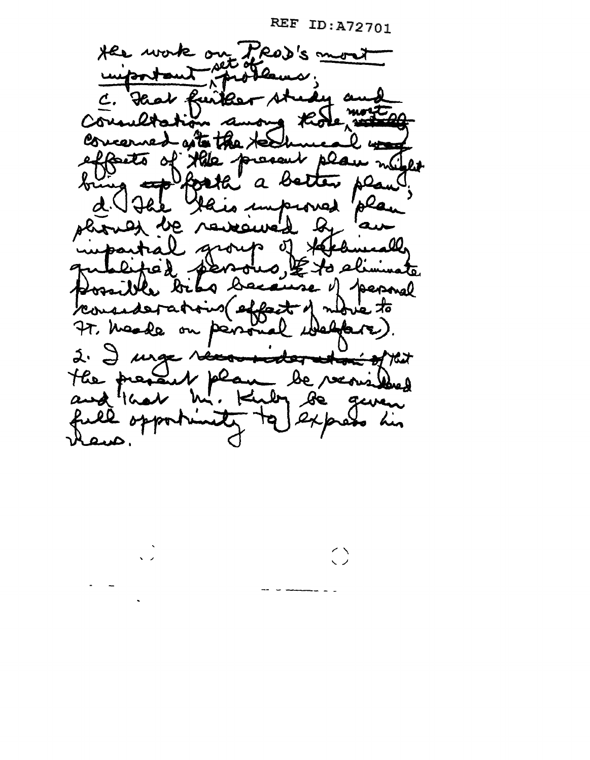$\bigcirc$ 

Her work on PROD's most Had further A C. Councilotatio wong the concerned att the creut pla effects of Xile  $\mathbf{0.1}$ forth' a be تتكلما improve be, avewed roup of the lifed perous, Et a bacause of permal ossible bib consideration effect of move to 77. Macde welfare on persona 2. I urge récommitter to the most of that the present plan de versibles rlaws.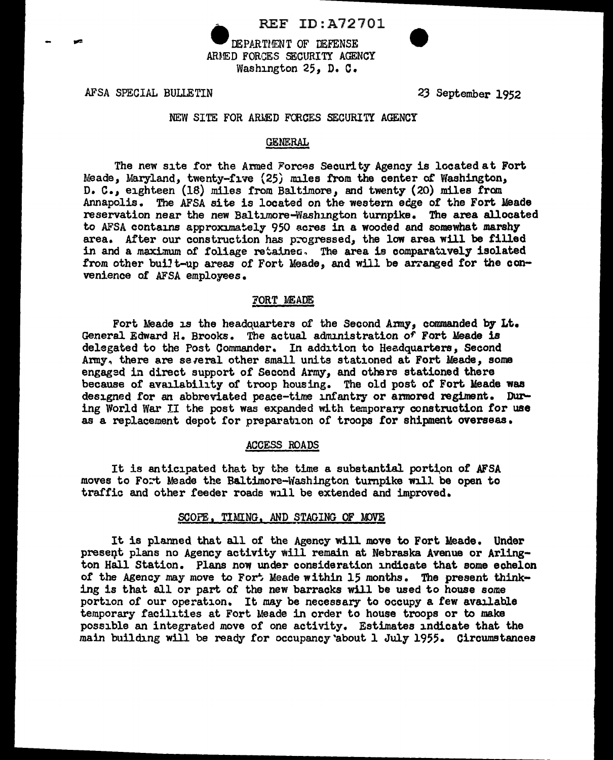

DEPARTMENT OF DEFENSE ARMED FORGES SECURITY AGENCY Washington 25. D. C.

AFSA SPECIAL BULLETIN

23 September 1952

# NEW SITE FOR ARMED FORCES SECURITY AGENCY

#### GENERAL

The new site for the Armed Forces Security Agency is located at Fort Meade, Maryland, twenty-five (25) miles from the center of Washington, D. C., eighteen (18) miles from Baltimore, and twenty (20) miles from Annapolis. The AFSA site is located on the western edge of the Fort Meade reservation near the new Baltimore-Washington turnpike. The area allocated to AFSA contains approximately 950 acres in a wooded and somewhat marshy area. After our construction has progressed, the low area will be filled in and a maximum of foliage retained. The area is comparatively isolated from other built-up areas of Fort Meade, and will be arranged for the convenience of AFSA employees.

#### FORT MEADE

Fort Meade is the headquarters of the Second Army, commanded by Lt. General Edward H. Brooks. The actual administration of Fort Meade is delegated to the Post Commander. In addition to Headquarters, Second Army, there are several other small units stationed at Fort Meade, some engagsd in direct support of Second Army, and others stationed there because of availability of troop housing. The old post of Fort Meade was designed for an abbreviated peace-time infantry or armored regiment. During World War II the post was expanded with temporary construction for use as a replacement depot for preparation of troops for shipment overseas.

#### ACCESS ROADS

It is anticipated that by the time a substantial portion of AFSA moves to Fort Meade the Baltimore-Washington turnpike will be open to traffic and other feeder roads will be extended and improved.

#### SCOPE, TIMING, AND STAGING OF MOVE

It is planned that all of the Agency will move to Fort Meade. Under preseqt plans no Agency activity will remain at Nebraska Avenue or Arlington Hall Station. Plans now under consideration indicate that some echelon of the Agency may move to Fort Meade within 15 months. The present thinking is that all or part of the new barracks will be used to house some portion of our operation. It may be necessary to occupy a few available temporary facilities at Fort Meade in order to house troops or to make possible an integrated move of one activity. Estimates indicate that the main building will be ready for occupancy 'about l July 1955. Circumstances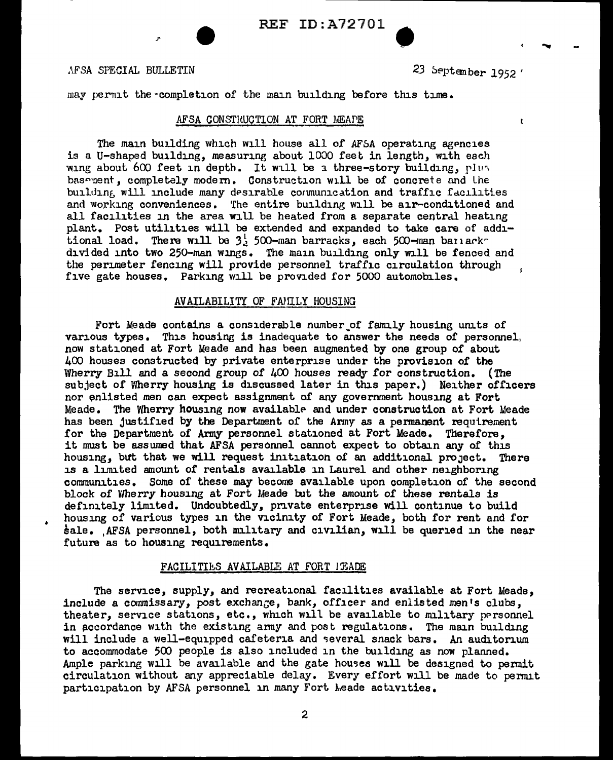.\FSA SPECIAL BULLETIN

j.

• 23 September 1952

...

t

may permit the -completion of the main building before this time.

#### AFSA CONSTRUCTION AT FORT MEAPE

The main building which will house all of AFSA operating agencies is a U-shaped building, measuring about 1000 feet in length, with each wing about 600 feet in depth. It will be a three-story building, plus basement, completely modern. Construction will be of concrete and the building will include many desirable communication and traffic facilities and working conveniences. The entire building will be air-conditioned and all facilities in the area will be heated from a separate central heating plant. Post utilities will be extended and expanded to take care of additional load. There will be  $3\frac{1}{2}$  500-man barracks, each 500-man banackdivided into two 250-man wings. The main building only will be fenced and the perimeter fencing will provide personnel traffic circulation through five gate houses. Parking will be provided for 5000 automobiles.

#### AVAILABILITY OF FAMILY HOUSING

Fort Meade contains a considerable number of family housing units of various types. This housing is inadequate to answer the needs of personnel, now stationed at Fort Meade and has been augmented by one group of about 400 houses constructed by private enterprise under the provision of the Wherry Bill and a second group of  $400$  houses ready for construction. (The subject of Wherry housing is discussed later in this paper.) Neither officers nor enlisted men can expect assignment of any government housing at Fort Meade. The Wherry housing now available and under construction at Fort Meade has been justified by the Department of the Army as a permanent requirement for the Department of Army personnel stationed at Fort Meade. Therefore, it must be assumed that AFSA personnel cannot expect to obtain any of this housing, but that we will request initiation of an additional project. There is a limited amount of rentals available in Laurel and other neighboring communities. Some of these may become available upon completion of the second block of Wherry housing at Fort Meade but the amount of these rentals is definitely limited. Undoubtedly, private enterprise will continue to build housing of various types in the vicinity of Fort Meade, both for rent and for sale. AFSA personnel, both military and civilian, will be queried in the near future as to housing requirements.

#### FACILITIES AVAILABLE AT FORT L'EADE

The service, supply, and recreational facilities available at Fort Meade, include a commissary, post exchange, bank, officer and enlisted men's clubs, theater, service stations, etc., which will be available to military personnel in accordance with the existing anny and post regulations. The main building will include a well-equipped cafeteria and several snack bars. An auditorium to accommodate 500 people is also included in the building as now planned. Ample parking will be available and the gate houses will be designed to permit circulation without any appreciable delay. Every effort will be made to permit participation by AFSA personnel in many Fort Meade activities.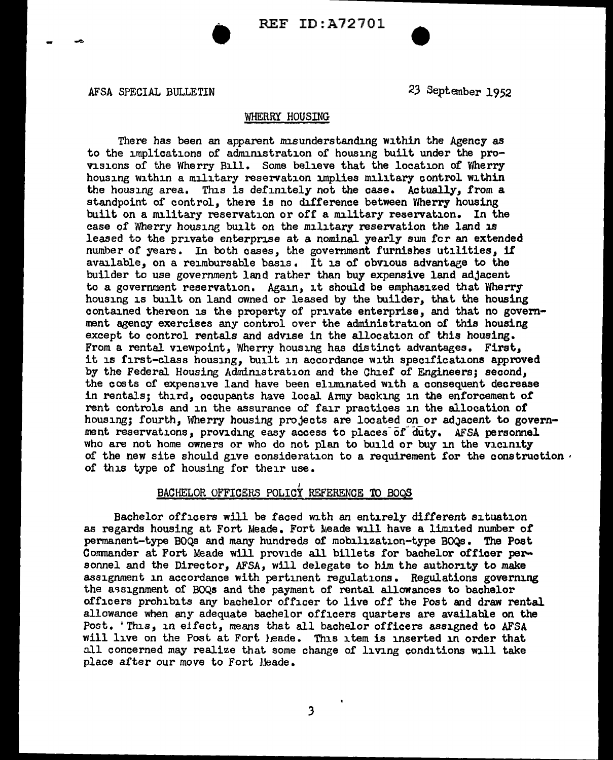

#### WHERRY HOUSING

There has been an apparent misunderstanding within the Agency as to the implications or administration of housing built under the provisions of the Wherry Bill. Some believe that the location of Wherry housing within a military reservation implies military control within the housing area. This is definitely not the case. Actually, from a standpoint of control, there is no difference between Wherry housing built on a military reservation or off a military reservation. In the case of Wherry housing built on the military reservation the land is leased to the private enterprise at a nominal yearly sum fer an extended number of years. In both cases, the government furnishes utilities, if available, on a reimbursable basis. It is of obvious advantage to the builder to use government land rather than buy expensive land adjacent to a government reservation. Again, it should be emphasized that Wherry housing is built on land owned or leased by the builder, that the housing contained thereon is the property of private enterprise, and that no government agency exercises any control over the administration of this housing except to control rentals and advise in the allocation of this housing. From a rental viewpoint, Wherry housing has distinct advantages. First, it is first-class housing, built in accordance with specifications approved by the Federal Housing Administration and the Chief of Engineers; second, the costs of expensive land have been eliminated with a consequent decrease in rentals; third, occupants have local Anny backing in the enforcement of rent controls and in the assurance of fair practices in the allocation of housing; fourth, Wherry housing projects are located on or adjacent to government reservations, providing easy access to places of duty. AFSA personnel who are not home owners or who do not plan to build or buy in the vicinity of the new site should give consideration to a requirement for the construction  $\cdot$ of this type of housing for their use.

# BACHELOR OFFICERS POLICY REFERENCE TO BOQS

Bachelor officers will be faced with an entirely different situation as regards housing at Fort Meade. Fort Meade will have a limited number of permanent-type BOQS and many hundreds of mobilization-type BOQs. The Post Commander at Fort Meade will provide all billets for bachelor officer personnel and the Director, AFSA, will delegate to him the authority to make assignment in accordance with pertinent regulations. Regulations governing the assignment of BOQs and the payment of rental allowances to bachelor officers prohibits any bachelor officer to live off the Post and draw rental allowance when any adequate bachelor officers quarters are available on the Post. 'This, in eifect, means that all bachelor officers assigned to AFSA will live on the Post at Fort heade. This item is inserted in order that all concerned may realize that some change of living conditions will take place after our *move* to Fort Meade.